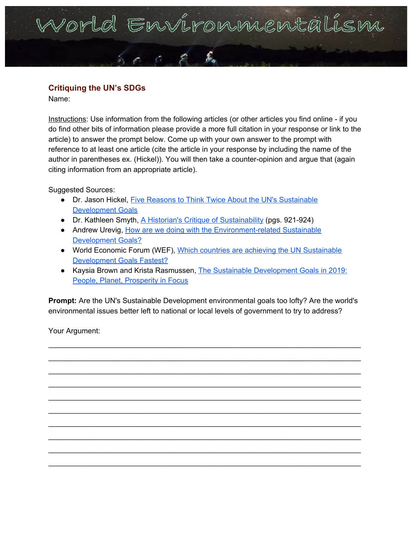## Porld Environniental

## **Critiquing the UN's SDGs**

Name:

Instructions: Use information from the following articles (or other articles you find online - if you do find other bits of information please provide a more full citation in your response or link to the article) to answer the prompt below. Come up with your own answer to the prompt with reference to at least one article (cite the article in your response by including the name of the author in parentheses ex. (Hickel)). You will then take a counter-opinion and argue that (again citing information from an appropriate article).

Suggested Sources:

- Dr. Jason Hickel, Five Reasons to Think Twice About the UN's [Sustainable](https://blogs.lse.ac.uk/africaatlse/2015/09/23/five-reasons-to-think-twice-about-the-uns-sustainable-development-goals/) [Development](https://blogs.lse.ac.uk/africaatlse/2015/09/23/five-reasons-to-think-twice-about-the-uns-sustainable-development-goals/) Goals
- Dr. Kathleen Smyth, A Historian's Critique of [Sustainability](https://www.cultureunbound.ep.liu.se/v6/a50/cu14v6a50.pdf) (pgs. 921-924)
- Andrew Urevig, How are we doing with the [Environment-related](https://ensia.com/notable/environment-sustainable-development-goals/) Sustainable [Development](https://ensia.com/notable/environment-sustainable-development-goals/) Goals?
- World Economic Forum (WEF), Which countries are achieving the UN [Sustainable](https://www.weforum.org/agenda/2017/03/countries-achieving-un-sustainable-development-goals-fastest/) [Development](https://www.weforum.org/agenda/2017/03/countries-achieving-un-sustainable-development-goals-fastest/) Goals Fastest?
- Kaysia Brown and Krista Rasmussen, The Sustainable [Development](https://unfoundation.org/blog/post/the-sustainable-development-goals-in-2019-people-planet-prosperity-in-focus/) Goals in 2019: People, Planet, [Prosperity](https://unfoundation.org/blog/post/the-sustainable-development-goals-in-2019-people-planet-prosperity-in-focus/) in Focus

**Prompt:** Are the UN's Sustainable Development environmental goals too lofty? Are the world's environmental issues better left to national or local levels of government to try to address?

\_\_\_\_\_\_\_\_\_\_\_\_\_\_\_\_\_\_\_\_\_\_\_\_\_\_\_\_\_\_\_\_\_\_\_\_\_\_\_\_\_\_\_\_\_\_\_\_\_\_\_\_\_\_\_\_\_\_\_\_\_\_\_\_\_\_\_\_\_\_\_\_\_\_\_\_ \_\_\_\_\_\_\_\_\_\_\_\_\_\_\_\_\_\_\_\_\_\_\_\_\_\_\_\_\_\_\_\_\_\_\_\_\_\_\_\_\_\_\_\_\_\_\_\_\_\_\_\_\_\_\_\_\_\_\_\_\_\_\_\_\_\_\_\_\_\_\_\_\_\_\_\_ \_\_\_\_\_\_\_\_\_\_\_\_\_\_\_\_\_\_\_\_\_\_\_\_\_\_\_\_\_\_\_\_\_\_\_\_\_\_\_\_\_\_\_\_\_\_\_\_\_\_\_\_\_\_\_\_\_\_\_\_\_\_\_\_\_\_\_\_\_\_\_\_\_\_\_\_ \_\_\_\_\_\_\_\_\_\_\_\_\_\_\_\_\_\_\_\_\_\_\_\_\_\_\_\_\_\_\_\_\_\_\_\_\_\_\_\_\_\_\_\_\_\_\_\_\_\_\_\_\_\_\_\_\_\_\_\_\_\_\_\_\_\_\_\_\_\_\_\_\_\_\_\_ \_\_\_\_\_\_\_\_\_\_\_\_\_\_\_\_\_\_\_\_\_\_\_\_\_\_\_\_\_\_\_\_\_\_\_\_\_\_\_\_\_\_\_\_\_\_\_\_\_\_\_\_\_\_\_\_\_\_\_\_\_\_\_\_\_\_\_\_\_\_\_\_\_\_\_\_ \_\_\_\_\_\_\_\_\_\_\_\_\_\_\_\_\_\_\_\_\_\_\_\_\_\_\_\_\_\_\_\_\_\_\_\_\_\_\_\_\_\_\_\_\_\_\_\_\_\_\_\_\_\_\_\_\_\_\_\_\_\_\_\_\_\_\_\_\_\_\_\_\_\_\_\_ \_\_\_\_\_\_\_\_\_\_\_\_\_\_\_\_\_\_\_\_\_\_\_\_\_\_\_\_\_\_\_\_\_\_\_\_\_\_\_\_\_\_\_\_\_\_\_\_\_\_\_\_\_\_\_\_\_\_\_\_\_\_\_\_\_\_\_\_\_\_\_\_\_\_\_\_ \_\_\_\_\_\_\_\_\_\_\_\_\_\_\_\_\_\_\_\_\_\_\_\_\_\_\_\_\_\_\_\_\_\_\_\_\_\_\_\_\_\_\_\_\_\_\_\_\_\_\_\_\_\_\_\_\_\_\_\_\_\_\_\_\_\_\_\_\_\_\_\_\_\_\_\_ \_\_\_\_\_\_\_\_\_\_\_\_\_\_\_\_\_\_\_\_\_\_\_\_\_\_\_\_\_\_\_\_\_\_\_\_\_\_\_\_\_\_\_\_\_\_\_\_\_\_\_\_\_\_\_\_\_\_\_\_\_\_\_\_\_\_\_\_\_\_\_\_\_\_\_\_ \_\_\_\_\_\_\_\_\_\_\_\_\_\_\_\_\_\_\_\_\_\_\_\_\_\_\_\_\_\_\_\_\_\_\_\_\_\_\_\_\_\_\_\_\_\_\_\_\_\_\_\_\_\_\_\_\_\_\_\_\_\_\_\_\_\_\_\_\_\_\_\_\_\_\_\_

Your Argument: